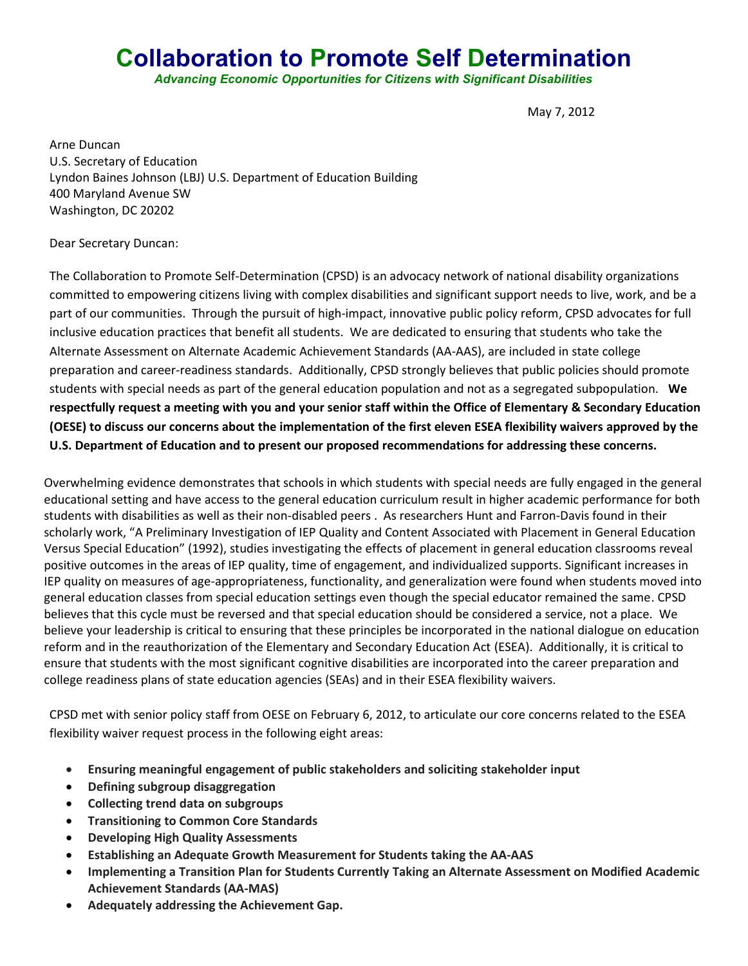## **Collaboration to Promote Self Determination**

*Advancing Economic Opportunities for Citizens with Significant Disabilities*

May 7, 2012

Arne Duncan U.S. Secretary of Education Lyndon Baines Johnson (LBJ) U.S. Department of Education Building 400 Maryland Avenue SW Washington, DC 20202

## Dear Secretary Duncan:

The Collaboration to Promote Self-Determination (CPSD) is an advocacy network of national disability organizations committed to empowering citizens living with complex disabilities and significant support needs to live, work, and be a part of our communities. Through the pursuit of high-impact, innovative public policy reform, CPSD advocates for full inclusive education practices that benefit all students. We are dedicated to ensuring that students who take the Alternate Assessment on Alternate Academic Achievement Standards (AA-AAS), are included in state college preparation and career-readiness standards. Additionally, CPSD strongly believes that public policies should promote students with special needs as part of the general education population and not as a segregated subpopulation. **We respectfully request a meeting with you and your senior staff within the Office of Elementary & Secondary Education (OESE) to discuss our concerns about the implementation of the first eleven ESEA flexibility waivers approved by the U.S. Department of Education and to present our proposed recommendations for addressing these concerns.**

Overwhelming evidence demonstrates that schools in which students with special needs are fully engaged in the general educational setting and have access to the general education curriculum result in higher academic performance for both students with disabilities as well as their non-disabled peers . As researchers Hunt and Farron-Davis found in their scholarly work, "A Preliminary Investigation of IEP Quality and Content Associated with Placement in General Education Versus Special Education" (1992), studies investigating the effects of placement in general education classrooms reveal positive outcomes in the areas of IEP quality, time of engagement, and individualized supports. Significant increases in IEP quality on measures of age-appropriateness, functionality, and generalization were found when students moved into general education classes from special education settings even though the special educator remained the same. CPSD believes that this cycle must be reversed and that special education should be considered a service, not a place. We believe your leadership is critical to ensuring that these principles be incorporated in the national dialogue on education reform and in the reauthorization of the Elementary and Secondary Education Act (ESEA). Additionally, it is critical to ensure that students with the most significant cognitive disabilities are incorporated into the career preparation and college readiness plans of state education agencies (SEAs) and in their ESEA flexibility waivers.

CPSD met with senior policy staff from OESE on February 6, 2012, to articulate our core concerns related to the ESEA flexibility waiver request process in the following eight areas:

- **Ensuring meaningful engagement of public stakeholders and soliciting stakeholder input**
- **Defining subgroup disaggregation**
- **Collecting trend data on subgroups**
- **Transitioning to Common Core Standards**
- **Developing High Quality Assessments**
- **Establishing an Adequate Growth Measurement for Students taking the AA-AAS**
- **Implementing a Transition Plan for Students Currently Taking an Alternate Assessment on Modified Academic Achievement Standards (AA-MAS)**
- **Adequately addressing the Achievement Gap.**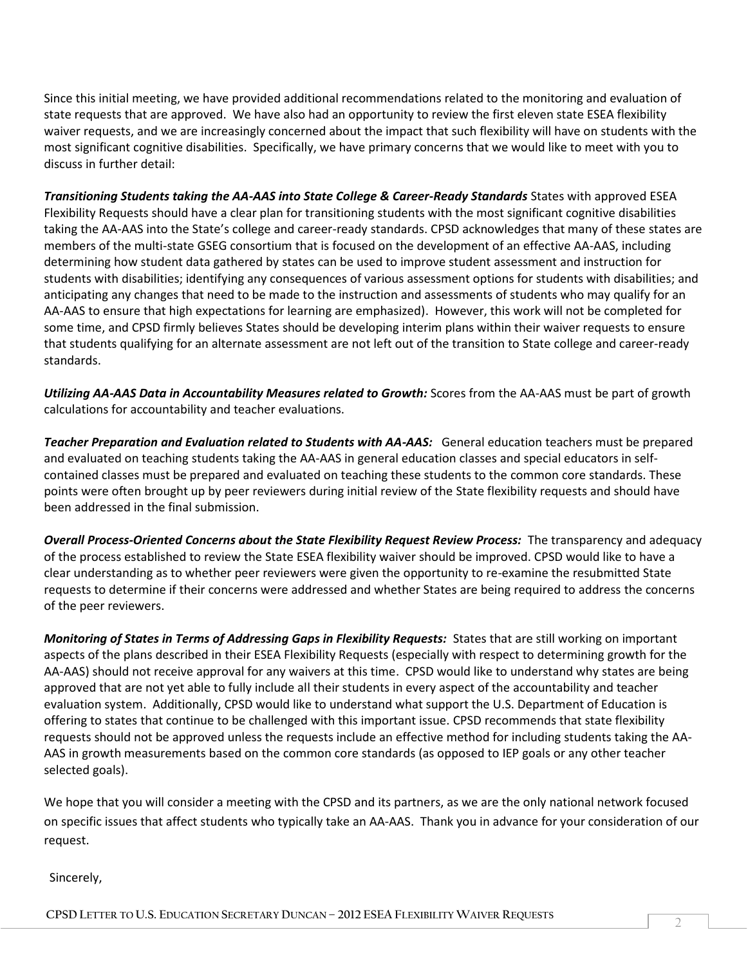Since this initial meeting, we have provided additional recommendations related to the monitoring and evaluation of state requests that are approved. We have also had an opportunity to review the first eleven state ESEA flexibility waiver requests, and we are increasingly concerned about the impact that such flexibility will have on students with the most significant cognitive disabilities. Specifically, we have primary concerns that we would like to meet with you to discuss in further detail:

*Transitioning Students taking the AA-AAS into State College & Career-Ready Standards* States with approved ESEA Flexibility Requests should have a clear plan for transitioning students with the most significant cognitive disabilities taking the AA-AAS into the State's college and career-ready standards. CPSD acknowledges that many of these states are members of the multi-state GSEG consortium that is focused on the development of an effective AA-AAS, including determining how student data gathered by states can be used to improve student assessment and instruction for students with disabilities; identifying any consequences of various assessment options for students with disabilities; and anticipating any changes that need to be made to the instruction and assessments of students who may qualify for an AA-AAS to ensure that high expectations for learning are emphasized). However, this work will not be completed for some time, and CPSD firmly believes States should be developing interim plans within their waiver requests to ensure that students qualifying for an alternate assessment are not left out of the transition to State college and career-ready standards.

*Utilizing AA-AAS Data in Accountability Measures related to Growth:* Scores from the AA-AAS must be part of growth calculations for accountability and teacher evaluations.

*Teacher Preparation and Evaluation related to Students with AA-AAS:* General education teachers must be prepared and evaluated on teaching students taking the AA-AAS in general education classes and special educators in selfcontained classes must be prepared and evaluated on teaching these students to the common core standards. These points were often brought up by peer reviewers during initial review of the State flexibility requests and should have been addressed in the final submission.

*Overall Process-Oriented Concerns about the State Flexibility Request Review Process:* The transparency and adequacy of the process established to review the State ESEA flexibility waiver should be improved. CPSD would like to have a clear understanding as to whether peer reviewers were given the opportunity to re-examine the resubmitted State requests to determine if their concerns were addressed and whether States are being required to address the concerns of the peer reviewers.

*Monitoring of States in Terms of Addressing Gaps in Flexibility Requests:* States that are still working on important aspects of the plans described in their ESEA Flexibility Requests (especially with respect to determining growth for the AA-AAS) should not receive approval for any waivers at this time. CPSD would like to understand why states are being approved that are not yet able to fully include all their students in every aspect of the accountability and teacher evaluation system. Additionally, CPSD would like to understand what support the U.S. Department of Education is offering to states that continue to be challenged with this important issue. CPSD recommends that state flexibility requests should not be approved unless the requests include an effective method for including students taking the AA-AAS in growth measurements based on the common core standards (as opposed to IEP goals or any other teacher selected goals).

We hope that you will consider a meeting with the CPSD and its partners, as we are the only national network focused on specific issues that affect students who typically take an AA-AAS. Thank you in advance for your consideration of our request.

Sincerely,

**CPSD <sup>L</sup>ETTER TO U.S. <sup>E</sup>DUCATION <sup>S</sup>ECRETARY <sup>D</sup>UNCAN – <sup>2012</sup> ESEA <sup>F</sup>LEXIBILITY <sup>W</sup>AIVER <sup>R</sup>EQUESTS** <sup>2</sup>